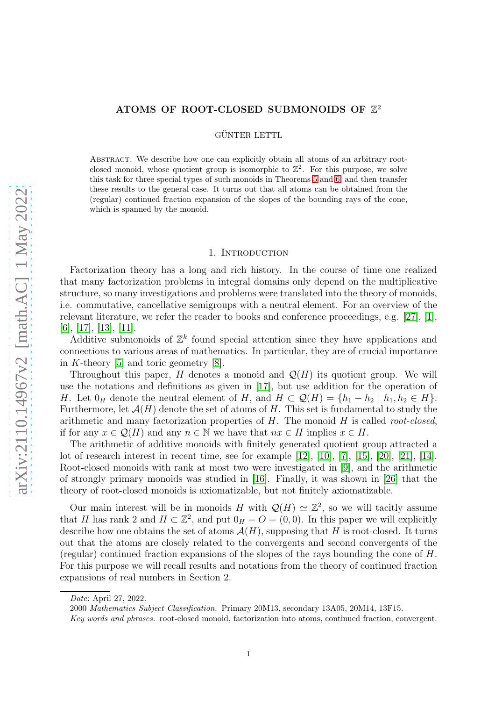# ATOMS OF ROOT-CLOSED SUBMONOIDS OF  $\mathbb{Z}^2$

GÜNTER LETTL

ABSTRACT. We describe how one can explicitly obtain all atoms of an arbitrary rootclosed monoid, whose quotient group is isomorphic to  $\mathbb{Z}^2$ . For this purpose, we solve this task for three special types of such monoids in Theorems [5](#page-3-0) and [6,](#page-3-1) and then transfer these results to the general case. It turns out that all atoms can be obtained from the (regular) continued fraction expansion of the slopes of the bounding rays of the cone, which is spanned by the monoid.

#### 1. INTRODUCTION

Factorization theory has a long and rich history. In the course of time one realized that many factorization problems in integral domains only depend on the multiplicative structure, so many investigations and problems were translated into the theory of monoids, i.e. commutative, cancellative semigroups with a neutral element. For an overview of the relevant literature, we refer the reader to books and conference proceedings, e.g. [\[27\]](#page-11-0), [\[1\]](#page-10-0), [\[6\]](#page-10-1), [\[17\]](#page-10-2), [\[13\]](#page-10-3), [\[11\]](#page-10-4).

Additive submonoids of  $\mathbb{Z}^k$  found special attention since they have applications and connections to various areas of mathematics. In particular, they are of crucial importance in K-theory [\[5\]](#page-10-5) and toric geometry [\[8\]](#page-10-6).

Throughout this paper, H denotes a monoid and  $\mathcal{Q}(H)$  its quotient group. We will use the notations and definitions as given in [\[17\]](#page-10-2), but use addition for the operation of H. Let  $0_H$  denote the neutral element of H, and  $H \subset \mathcal{Q}(H) = \{h_1 - h_2 \mid h_1, h_2 \in H\}.$ Furthermore, let  $\mathcal{A}(H)$  denote the set of atoms of H. This set is fundamental to study the arithmetic and many factorization properties of H. The monoid H is called *root-closed*, if for any  $x \in \mathcal{Q}(H)$  and any  $n \in \mathbb{N}$  we have that  $nx \in H$  implies  $x \in H$ .

The arithmetic of additive monoids with finitely generated quotient group attracted a lot of research interest in recent time, see for example [\[12\]](#page-10-7), [\[10\]](#page-10-8), [\[7\]](#page-10-9), [\[15\]](#page-10-10), [\[20\]](#page-11-1), [\[21\]](#page-11-2), [\[14\]](#page-10-11). Root-closed monoids with rank at most two were investigated in [\[9\]](#page-10-12), and the arithmetic of strongly primary monoids was studied in [\[16\]](#page-10-13). Finally, it was shown in [\[26\]](#page-11-3) that the theory of root-closed monoids is axiomatizable, but not finitely axiomatizable.

Our main interest will be in monoids H with  $\mathcal{Q}(H) \simeq \mathbb{Z}^2$ , so we will tacitly assume that H has rank 2 and  $H \subset \mathbb{Z}^2$ , and put  $0_H = O = (0, 0)$ . In this paper we will explicitly describe how one obtains the set of atoms  $A(H)$ , supposing that H is root-closed. It turns out that the atoms are closely related to the convergents and second convergents of the (regular) continued fraction expansions of the slopes of the rays bounding the cone of  $H$ . For this purpose we will recall results and notations from the theory of continued fraction expansions of real numbers in Section 2.

*Date*: April 27, 2022.

<sup>2000</sup> *Mathematics Subject Classification.* Primary 20M13, secondary 13A05, 20M14, 13F15.

*Key words and phrases.* root-closed monoid, factorization into atoms, continued fraction, convergent.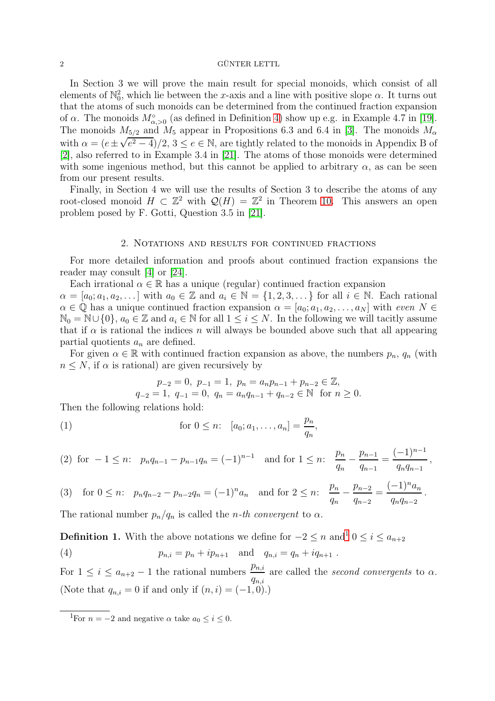In Section 3 we will prove the main result for special monoids, which consist of all elements of  $\mathbb{N}_0^2$ , which lie between the x-axis and a line with positive slope  $\alpha$ . It turns out that the atoms of such monoids can be determined from the continued fraction expansion of  $\alpha$ . The monoids  $M^{\circ}_{\alpha,>0}$  (as defined in Definition [4\)](#page-3-2) show up e.g. in Example 4.7 in [\[19\]](#page-11-4). The monoids  $M_{5/2}$  and  $M_5$  appear in Propositions 6.3 and 6.4 in [\[3\]](#page-10-14). The monoids  $M_{\alpha}$ with  $\alpha = (e \pm \sqrt{e^2 - 4})/2$ ,  $3 \le e \in \mathbb{N}$ , are tightly related to the monoids in Appendix B of [\[2\]](#page-10-15), also referred to in Example 3.4 in [\[21\]](#page-11-2). The atoms of those monoids were determined with some ingenious method, but this cannot be applied to arbitrary  $\alpha$ , as can be seen from our present results.

Finally, in Section 4 we will use the results of Section 3 to describe the atoms of any root-closed monoid  $H \subset \mathbb{Z}^2$  with  $\mathcal{Q}(H) = \mathbb{Z}^2$  in Theorem [10.](#page-8-0) This answers an open problem posed by F. Gotti, Question 3.5 in [\[21\]](#page-11-2).

### 2. Notations and results for continued fractions

For more detailed information and proofs about continued fraction expansions the reader may consult [\[4\]](#page-10-16) or [\[24\]](#page-11-5).

Each irrational  $\alpha \in \mathbb{R}$  has a unique (regular) continued fraction expansion  $\alpha = [a_0; a_1, a_2, \dots]$  with  $a_0 \in \mathbb{Z}$  and  $a_i \in \mathbb{N} = \{1, 2, 3, \dots\}$  for all  $i \in \mathbb{N}$ . Each rational  $\alpha \in \mathbb{Q}$  has a unique continued fraction expansion  $\alpha = [a_0; a_1, a_2, \dots, a_N]$  with *even*  $N \in \mathbb{Q}$  $\mathbb{N}_0 = \mathbb{N} \cup \{0\}, a_0 \in \mathbb{Z}$  and  $a_i \in \mathbb{N}$  for all  $1 \leq i \leq N$ . In the following we will tacitly assume that if  $\alpha$  is rational the indices n will always be bounded above such that all appearing partial quotients  $a_n$  are defined.

For given  $\alpha \in \mathbb{R}$  with continued fraction expansion as above, the numbers  $p_n$ ,  $q_n$  (with  $n \leq N$ , if  $\alpha$  is rational) are given recursively by

$$
p_{-2} = 0
$$
,  $p_{-1} = 1$ ,  $p_n = a_n p_{n-1} + p_{n-2} \in \mathbb{Z}$ ,  
\n $q_{-2} = 1$ ,  $q_{-1} = 0$ ,  $q_n = a_n q_{n-1} + q_{n-2} \in \mathbb{N}$  for  $n \ge 0$ .

Then the following relations hold:

(1) 
$$
\text{for } 0 \leq n: [a_0; a_1, \dots, a_n] = \frac{p_n}{q_n},
$$

<span id="page-1-2"></span>(2) for 
$$
-1 \le n
$$
:  $p_n q_{n-1} - p_{n-1} q_n = (-1)^{n-1}$  and for  $1 \le n$ :  $\frac{p_n}{q_n} - \frac{p_{n-1}}{q_{n-1}} = \frac{(-1)^{n-1}}{q_n q_{n-1}}$ ,

(3) for 
$$
0 \le n
$$
:  $p_n q_{n-2} - p_{n-2} q_n = (-1)^n a_n$  and for  $2 \le n$ :  $\frac{p_n}{q_n} - \frac{p_{n-2}}{q_{n-2}} = \frac{(-1)^n a_n}{q_n q_{n-2}}$ .

The rational number  $p_n/q_n$  is called the *n*-th convergent to  $\alpha$ .

<span id="page-1-1"></span>**Definition [1](#page-1-0).** With the above notations we define for  $-2 \le n$  and<sup>1</sup>  $0 \le i \le a_{n+2}$ 

(4) 
$$
p_{n,i} = p_n + ip_{n+1}
$$
 and  $q_{n,i} = q_n + iq_{n+1}$ .

For  $1 \leq i \leq a_{n+2} - 1$  the rational numbers  $\frac{p_{n,i}}{q_{n,i}}$ are called the *second convergents* to α. (Note that  $q_{n,i} = 0$  if and only if  $(n, i) = (-1, 0)$ .)

<span id="page-1-0"></span><sup>&</sup>lt;sup>1</sup>For  $n = -2$  and negative  $\alpha$  take  $a_0 \le i \le 0$ .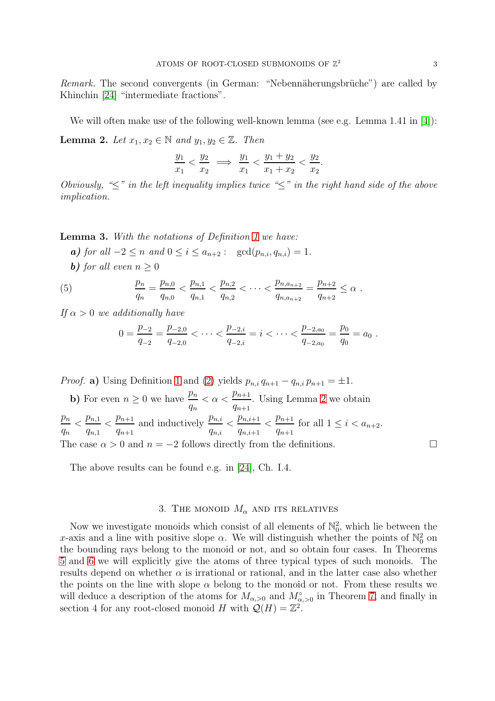*Remark.* The second convergents (in German: "Nebennäherungsbrüche") are called by Khinchin [\[24\]](#page-11-5) "intermediate fractions".

<span id="page-2-0"></span>We will often make use of the following well-known lemma (see e.g. Lemma 1.41 in [\[4\]](#page-10-16)): **Lemma 2.** *Let*  $x_1, x_2 \in \mathbb{N}$  *and*  $y_1, y_2 \in \mathbb{Z}$ *. Then* 

$$
\frac{y_1}{x_1} < \frac{y_2}{x_2} \implies \frac{y_1}{x_1} < \frac{y_1 + y_2}{x_1 + x_2} < \frac{y_2}{x_2}.
$$

*Obviously, "*≤*" in the left inequality implies twice "*≤*" in the right hand side of the above implication.*

<span id="page-2-1"></span>Lemma 3. *With the notations of Definition [1](#page-1-1) we have:*

*a*) *for all* −2 ≤ *n and*  $0 \le i \le a_{n+2}$ : gcd( $p_{n,i}, q_{n,i}$ ) = 1*.* 

**b**) *for all even*  $n > 0$ 

(5) 
$$
\frac{p_n}{q_n} = \frac{p_{n,0}}{q_{n,0}} < \frac{p_{n,1}}{q_{n,1}} < \frac{p_{n,2}}{q_{n,2}} < \cdots < \frac{p_{n,a_{n+2}}}{q_{n,a_{n+2}}} = \frac{p_{n+2}}{q_{n+2}} \le \alpha.
$$

*If*  $\alpha > 0$  *we additionally have* 

<span id="page-2-2"></span>
$$
0 = \frac{p_{-2}}{q_{-2}} = \frac{p_{-2,0}}{q_{-2,0}} < \cdots < \frac{p_{-2,i}}{q_{-2,i}} = i < \cdots < \frac{p_{-2,a_0}}{q_{-2,a_0}} = \frac{p_0}{q_0} = a_0.
$$

*Proof.* a) Using Definition [1](#page-1-1) and [\(2\)](#page-1-2) yields  $p_{n,i} q_{n+1} - q_{n,i} p_{n+1} = \pm 1$ .

**b**) For even  $n \geq 0$  we have  $\frac{p_n}{q_n}$  $< \alpha < \frac{p_{n+1}}{p_{n+1}}$  $q_{n+1}$ . Using Lemma [2](#page-2-0) we obtain  $\bar{p}_n$  $q_n$  $\langle \frac{p_{n,1}}{n}$  $q_{n,1}$  $\frac{p_{n+1}}{p}$  $q_{n+1}$ and inductively  $\frac{p_{n,i}}{n}$  $q_{n,i}$  $\langle \frac{p_{n,i+1}}{2}$  $q_{n,i+1}$  $\frac{p_{n+1}}{p}$  $\frac{p_{n+1}}{q_{n+1}}$  for all  $1 \leq i < a_{n+2}$ . The case  $\alpha > 0$  and  $n = -2$  follows directly from the definitions.

The above results can be found e.g. in [\[24\]](#page-11-5), Ch. I.4.

### 3. THE MONOID  $M_{\alpha}$  and its relatives

Now we investigate monoids which consist of all elements of  $\mathbb{N}_0^2$ , which lie between the x-axis and a line with positive slope  $\alpha$ . We will distinguish whether the points of  $\mathbb{N}_0^2$  on the bounding rays belong to the monoid or not, and so obtain four cases. In Theorems [5](#page-3-0) and [6](#page-3-1) we will explicitly give the atoms of three typical types of such monoids. The results depend on whether  $\alpha$  is irrational or rational, and in the latter case also whether the points on the line with slope  $\alpha$  belong to the monoid or not. From these results we will deduce a description of the atoms for  $M_{\alpha, >0}$  and  $M_{\alpha, >0}^{\circ}$  in Theorem [7,](#page-4-0) and finally in section 4 for any root-closed monoid H with  $\mathcal{Q}(H) = \mathbb{Z}^2$ .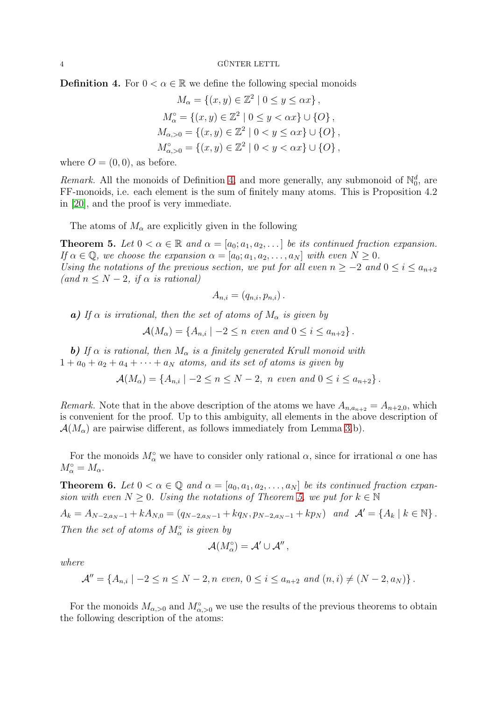<span id="page-3-2"></span>**Definition 4.** For  $0 < \alpha \in \mathbb{R}$  we define the following special monoids

$$
M_{\alpha} = \{(x, y) \in \mathbb{Z}^2 \mid 0 \le y \le \alpha x\},
$$
  
\n
$$
M_{\alpha}^{\circ} = \{(x, y) \in \mathbb{Z}^2 \mid 0 \le y < \alpha x\} \cup \{O\},
$$
  
\n
$$
M_{\alpha, > 0} = \{(x, y) \in \mathbb{Z}^2 \mid 0 < y \le \alpha x\} \cup \{O\},
$$
  
\n
$$
M_{\alpha, > 0}^{\circ} = \{(x, y) \in \mathbb{Z}^2 \mid 0 < y < \alpha x\} \cup \{O\},
$$

where  $O = (0, 0)$ , as before.

*Remark.* All the monoids of Definition [4,](#page-3-2) and more generally, any submonoid of  $\mathbb{N}_0^d$ , are FF-monoids, i.e. each element is the sum of finitely many atoms. This is Proposition 4.2 in [\[20\]](#page-11-1), and the proof is very immediate.

The atoms of  $M_{\alpha}$  are explicitly given in the following

<span id="page-3-0"></span>**Theorem 5.** Let  $0 < \alpha \in \mathbb{R}$  and  $\alpha = [a_0; a_1, a_2, \dots]$  be its continued fraction expansion. *If*  $\alpha \in \mathbb{Q}$ , we choose the expansion  $\alpha = [a_0; a_1, a_2, \dots, a_N]$  with even  $N \geq 0$ . *Using the notations of the previous section, we put for all even*  $n \ge -2$  *and*  $0 \le i \le a_{n+2}$  $\text{(and } n \leq N-2, \text{ if } \alpha \text{ is rational)}$ 

$$
A_{n,i} = (q_{n,i}, p_{n,i}).
$$

a) If  $\alpha$  *is irrational, then the set of atoms of*  $M_{\alpha}$  *is given by* 

$$
\mathcal{A}(M_{\alpha}) = \{A_{n,i} \mid -2 \leq n \text{ even and } 0 \leq i \leq a_{n+2}\}.
$$

**b)** *If*  $\alpha$  *is rational, then*  $M_{\alpha}$  *is a finitely generated Krull monoid with*  $1 + a_0 + a_2 + a_4 + \cdots + a_N$  *atoms, and its set of atoms is given by* 

$$
\mathcal{A}(M_{\alpha}) = \{A_{n,i} \mid -2 \leq n \leq N-2, \ n \text{ even and } 0 \leq i \leq a_{n+2}\}.
$$

*Remark.* Note that in the above description of the atoms we have  $A_{n,a_{n+2}} = A_{n+2,0}$ , which is convenient for the proof. Up to this ambiguity, all elements in the above description of  $\mathcal{A}(M_{\alpha})$  are pairwise different, as follows immediately from Lemma [3.](#page-2-1)b).

For the monoids  $M^{\circ}_{\alpha}$  we have to consider only rational  $\alpha$ , since for irrational  $\alpha$  one has  $M_{\alpha}^{\circ} = M_{\alpha}.$ 

<span id="page-3-1"></span>**Theorem 6.** Let  $0 < \alpha \in \mathbb{Q}$  and  $\alpha = [a_0, a_1, a_2, \dots, a_N]$  be its continued fraction expan*sion with even*  $N \geq 0$ *. Using the notations of Theorem [5,](#page-3-0) we put for*  $k \in \mathbb{N}$ 

 $A_k = A_{N-2,a_N-1} + kA_{N,0} = (q_{N-2,a_N-1} + kq_N, p_{N-2,a_N-1} + kp_N)$  *and*  $\mathcal{A}' = \{A_k \mid k \in \mathbb{N}\}.$ *Then the set of atoms of*  $M_{\alpha}^{\circ}$  *is given by* 

$$
\mathcal{A}(M^\circ_\alpha)=\mathcal{A}'\cup\mathcal{A}'',
$$

*where*

$$
\mathcal{A}'' = \{ A_{n,i} \mid -2 \le n \le N-2, n \text{ even}, 0 \le i \le a_{n+2} \text{ and } (n,i) \ne (N-2,a_N) \}.
$$

For the monoids  $M_{\alpha, >0}$  and  $M_{\alpha, >0}^{\circ}$  we use the results of the previous theorems to obtain the following description of the atoms: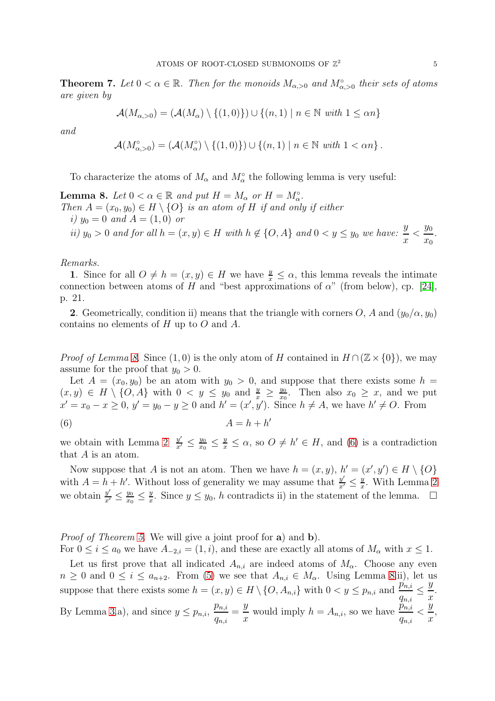<span id="page-4-0"></span>**Theorem 7.** Let  $0 < \alpha \in \mathbb{R}$ . Then for the monoids  $M_{\alpha,>0}$  and  $M_{\alpha,>0}^{\circ}$  their sets of atoms *are given by*

$$
\mathcal{A}(M_{\alpha,>0}) = (\mathcal{A}(M_{\alpha}) \setminus \{(1,0)\}) \cup \{(n,1) \mid n \in \mathbb{N} \text{ with } 1 \leq \alpha n\}
$$

*and*

$$
\mathcal{A}(M^{\circ}_{\alpha,>0})=(\mathcal{A}(M^{\circ}_{\alpha})\setminus\{(1,0)\})\cup\{(n,1)\mid n\in\mathbb{N}\,\,\text{with}\,\,1<\alpha n\}\,.
$$

To characterize the atoms of  $M_{\alpha}$  and  $M_{\alpha}^{\circ}$  the following lemma is very useful:

<span id="page-4-1"></span>**Lemma 8.** Let  $0 < \alpha \in \mathbb{R}$  and put  $H = M_\alpha$  or  $H = M_\alpha^{\circ}$ . *Then*  $A = (x_0, y_0) \in H \setminus \{O\}$  *is an atom of* H *if and only if either i*)  $y_0 = 0$  *and*  $A = (1, 0)$  *or ii*)  $y_0 > 0$  *and for all*  $h = (x, y) \in H$  *with*  $h \notin \{O, A\}$  *and*  $0 < y \leq y_0$  *we have:*  $\frac{y}{x}$  $\frac{y_0}{x_0}$  $\overline{x_0}$ *.*

*Remarks.*

1. Since for all  $O \neq h = (x, y) \in H$  we have  $\frac{y}{x} \leq \alpha$ , this lemma reveals the intimate connection between atoms of H and "best approximations of  $\alpha$ " (from below), cp. [\[24\]](#page-11-5), p. 21.

2. Geometrically, condition ii) means that the triangle with corners O, A and  $(y_0/\alpha, y_0)$ contains no elements of H up to O and A.

*Proof of Lemma [8.](#page-4-1)* Since  $(1,0)$  is the only atom of H contained in  $H \cap (\mathbb{Z} \times \{0\})$ , we may assume for the proof that  $y_0 > 0$ .

Let  $A = (x_0, y_0)$  be an atom with  $y_0 > 0$ , and suppose that there exists some  $h =$  $(x, y) \in H \setminus \{O, A\}$  with  $0 < y \leq y_0$  and  $\frac{y}{x} \geq \frac{y_0}{x_0}$  $\frac{y_0}{x_0}$ . Then also  $x_0 \geq x$ , and we put  $x' = x_0 - x \ge 0, y' = y_0 - y \ge 0$  and  $h' = (x', y')$ . Since  $h \ne A$ , we have  $h' \ne O$ . From

<span id="page-4-2"></span>
$$
(6) \t\t A = h + h'
$$

we obtain with Lemma [2](#page-2-0)  $\frac{y'}{x'}$  $\frac{y'}{x'} \leq \frac{y_0}{x_0}$  $\frac{y_0}{x_0} \leq \frac{y}{x} \leq \alpha$ , so  $O \neq h' \in H$ , and [\(6\)](#page-4-2) is a contradiction that A is an atom.

Now suppose that A is not an atom. Then we have  $h = (x, y), h' = (x', y') \in H \setminus \{O\}$ with  $A = h + h'$ . Without loss of generality we may assume that  $\frac{y'}{r'}$  $\frac{y'}{x'} \leq \frac{y}{x}$ + h'. Without loss of generality we may assume that  $\frac{y}{x'} \leq \frac{y}{x}$ . With Lemma [2](#page-2-0) we obtain  $\frac{y'}{x'} \leq \frac{y_0}{x_0}$  $\frac{y_0}{x_0} \leq \frac{y}{x}$ y. Since  $y \le y_0$ , h contradicts ii) in the statement of the lemma.  $\Box$ 

*Proof of Theorem [5.](#page-3-0)* We will give a joint proof for a) and b).

For  $0 \le i \le a_0$  we have  $A_{-2,i} = (1,i)$ , and these are exactly all atoms of  $M_\alpha$  with  $x \le 1$ .

Let us first prove that all indicated  $A_{n,i}$  are indeed atoms of  $M_{\alpha}$ . Choose any even  $n \geq 0$  and  $0 \leq i \leq a_{n+2}$ . From [\(5\)](#page-2-2) we see that  $A_{n,i} \in M_{\alpha}$ . Using Lemma [8.](#page-4-1)ii), let us suppose that there exists some  $h = (x, y) \in H \setminus \{O, A_{n,i}\}\$  with  $0 < y \leq p_{n,i}$  and  $\frac{p'_{n,i}}{q_{n,i}} \leq$  $\hat{y}$  $\boldsymbol{x}$ . By Lemma [3.](#page-2-1)a), and since  $y \le p_{n,i}$ ,  $p_{n,i}$  $q_{n,i}$ =  $\hat{y}$  $\frac{y}{x}$  would imply  $h = A_{n,i}$ , so we have  $\frac{p_{n,i}}{q_{n,i}}$  $q_{n,i}$  $\lt$  $\hat{y}$  $\boldsymbol{x}$ ,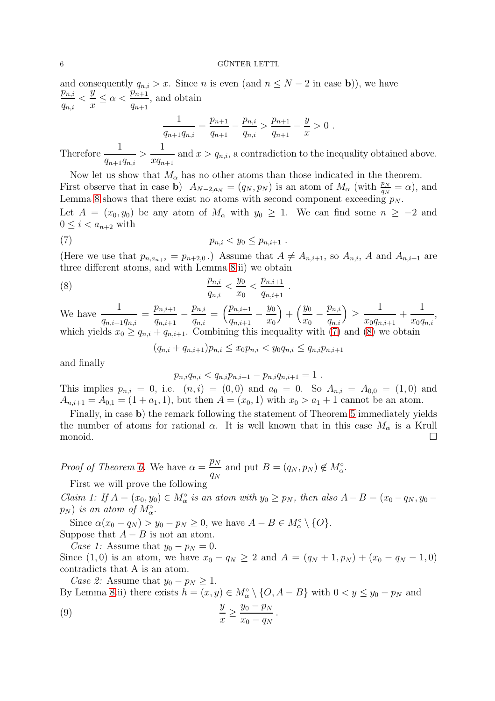and consequently  $q_{n,i} > x$ . Since *n* is even (and  $n \leq N - 2$  in case **b**)), we have  $p_{n,i}$  $q_{n,i}$  $\lt$  $\hat{y}$  $\frac{b}{x} \leq \alpha <$  $p_{n+1}^{\,m,n}$  $q_{n+1}$ , and obtain 1  $\hat{y}$ 

$$
\frac{1}{q_{n+1}q_{n,i}} = \frac{p_{n+1}}{q_{n+1}} - \frac{p_{n,i}}{q_{n,i}} > \frac{p_{n+1}}{q_{n+1}} - \frac{y}{x} > 0.
$$

Therefore  $\frac{1}{1}$  $q_{n+1}q_{n,i}$  $>$ 1  $xq_{n+1}$ and  $x > q_{n,i}$ , a contradiction to the inequality obtained above.

Now let us show that  $M_{\alpha}$  has no other atoms than those indicated in the theorem. First observe that in case **b**)  $A_{N-2,a_N} = (q_N, p_N)$  is an atom of  $M_\alpha$  (with  $\frac{p_N}{q_N} = \alpha$ ), and Lemma [8](#page-4-1) shows that there exist no atoms with second component exceeding  $p_N$ . Let  $A = (x_0, y_0)$  be any atom of  $M_\alpha$  with  $y_0 \geq 1$ . We can find some  $n \geq -2$  and  $0 \leq i < a_{n+2}$  with

(7) 
$$
p_{n,i} < y_0 \leq p_{n,i+1} .
$$

(Here we use that  $p_{n,a_{n+2}} = p_{n+2,0}$ .) Assume that  $A \neq A_{n,i+1}$ , so  $A_{n,i}$ , A and  $A_{n,i+1}$  are three different atoms, and with Lemma [8.](#page-4-1)ii) we obtain

<span id="page-5-1"></span><span id="page-5-0"></span>.

(8) 
$$
\frac{p_{n,i}}{q_{n,i}} < \frac{y_0}{x_0} < \frac{p_{n,i+1}}{q_{n,i+1}}
$$

We have  $\frac{1}{\sqrt{1-\frac{1}{2}}}$  $q_{n,i+1}q_{n,i}$  $=$   $\frac{p_{n,i+1}}{n}$  $\frac{1}{q_{n,i+1}}$  –  $p_{n,i}$  $q_{n,i}$  $=\left(\frac{p_{n,i+1}}{p_{n,i+1}}\right)$  $\frac{1}{q_{n,i+1}}$  –  $y_0$  $\overline{x_0}$  $+\left(\frac{y_0}{x}\right)$  $\frac{1}{x_0}$  –  $p_{n,i}$  $q_{n,i}$  $\setminus$ ≥ 1  $x_0q_{n,i+1}$  $+$ 1  $x_0q_{n,i}$ , which yields  $x_0 \ge q_{n,i} + q_{n,i+1}$ . Combining this inequality with [\(7\)](#page-5-0) and [\(8\)](#page-5-1) we obtain

$$
(q_{n,i} + q_{n,i+1})p_{n,i} \le x_0p_{n,i} < y_0q_{n,i} \le q_{n,i}p_{n,i+1}
$$

and finally

$$
p_{n,i}q_{n,i} < q_{n,i}p_{n,i+1} - p_{n,i}q_{n,i+1} = 1.
$$

This implies  $p_{n,i} = 0$ , i.e.  $(n,i) = (0,0)$  and  $a_0 = 0$ . So  $A_{n,i} = A_{0,0} = (1,0)$  and  $A_{n,i+1} = A_{0,1} = (1 + a_1, 1)$ , but then  $A = (x_0, 1)$  with  $x_0 > a_1 + 1$  cannot be an atom.

Finally, in case b) the remark following the statement of Theorem [5](#page-3-0) immediately yields the number of atoms for rational  $\alpha$ . It is well known that in this case  $M_{\alpha}$  is a Krull monoid.  $\square$ 

*Proof of Theorem [6.](#page-3-1)* We have  $\alpha = \frac{p_N}{p_N}$  $\frac{p_N}{q_N}$  and put  $B = (q_N, p_N) \notin M_\alpha^{\circ}$ .

First we will prove the following

*Claim 1:* If  $A = (x_0, y_0) \in M_\alpha^\circ$  is an atom with  $y_0 \geq p_N$ , then also  $A - B = (x_0 - q_N, y_0 - q_N)$  $(p_N)$  *is an atom of*  $M_\alpha$ <sup>o</sup>.

Since  $\alpha(x_0 - q_N) > y_0 - p_N \ge 0$ , we have  $A - B \in M_\alpha^\circ \setminus \{O\}.$ Suppose that  $A - B$  is not an atom.

*Case 1:* Assume that  $y_0 - p_N = 0$ . Since (1, 0) is an atom, we have  $x_0 - q_N \ge 2$  and  $A = (q_N + 1, p_N) + (x_0 - q_N - 1, 0)$ contradicts that A is an atom.

*Case 2:* Assume that  $y_0 - p_N \geq 1$ . By Lemma [8.](#page-4-1)ii) there exists  $h = (x, y) \in M_{\alpha}^{\circ} \setminus \{O, A - B\}$  with  $0 < y \leq y_0 - p_N$  and

<span id="page-5-2"></span>
$$
(9) \qquad \qquad \frac{y}{x} \ge \frac{y_0 - p_N}{x_0 - q_N} \, .
$$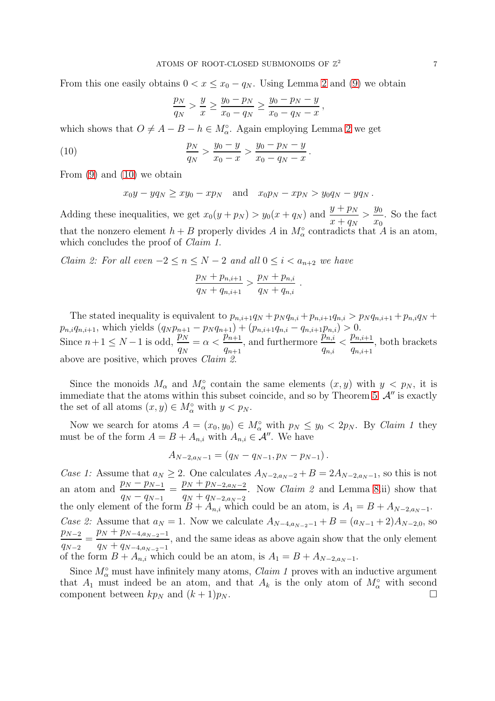From this one easily obtains  $0 < x \leq x_0 - q_N$ . Using Lemma [2](#page-2-0) and [\(9\)](#page-5-2) we obtain

<span id="page-6-0"></span>
$$
\frac{p_N}{q_N} > \frac{y}{x} \ge \frac{y_0 - p_N}{x_0 - q_N} \ge \frac{y_0 - p_N - y}{x_0 - q_N - x},
$$

which shows that  $O \neq A - B - h \in M_{\alpha}^{\circ}$ . Again employing Lemma [2](#page-2-0) we get

(10) 
$$
\frac{p_N}{q_N} > \frac{y_0 - y}{x_0 - x} > \frac{y_0 - p_N - y}{x_0 - q_N - x}.
$$

From  $(9)$  and  $(10)$  we obtain

$$
x_0y - yq_N \ge xy_0 - xp_N \quad \text{and} \quad x_0p_N - xp_N > y_0q_N - yq_N.
$$

Adding these inequalities, we get  $x_0(y + p_N) > y_0(x + q_N)$  and  $\frac{y + p_N}{n}$  $x + q_N$  $> \frac{y_0}{x_0}$  $\dot{x}_0$ . So the fact that the nonzero element  $h + B$  properly divides A in  $M_{\alpha}^{\circ}$  contradicts that A is an atom, which concludes the proof of *Claim 1*.

*Claim 2: For all even*  $-2 \le n \le N-2$  *and all*  $0 \le i < a_{n+2}$  *we have* 

$$
\frac{p_N + p_{n,i+1}}{q_N + q_{n,i+1}} > \frac{p_N + p_{n,i}}{q_N + q_{n,i}}
$$

.

The stated inequality is equivalent to  $p_{n,i+1}q_N + p_N q_{n,i} + p_{n,i+1}q_{n,i} > p_N q_{n,i+1} + p_{n,i}q_N + p_{n,i+1}q_N$  $p_{n,i}q_{n,i+1}$ , which yields  $(q_N p_{n+1} - p_N q_{n+1}) + (p_{n,i+1}q_{n,i} - q_{n,i+1}p_{n,i}) > 0.$ Since  $n+1 \leq N-1$  is odd,  $\frac{p_N}{q_N}$  $=\alpha < \frac{p_{n+1}}{p_n}$  $q_{n+1}$  $\sum_{i=1}^{N} n_i$ , and furthermore  $\frac{p_{n,i}}{p_{n,i}}$  $q_{n,i}$  $\langle \frac{p_{n,i+1}}{2}$  $q_{n,i+1}$ , both brackets above are positive, which proves *Claim 2*.

Since the monoids  $M_{\alpha}$  and  $M_{\alpha}^{\circ}$  contain the same elements  $(x, y)$  with  $y < p_N$ , it is immediate that the atoms within this subset coincide, and so by Theorem [5](#page-3-0)  $\mathcal{A}''$  is exactly the set of all atoms  $(x, y) \in M^{\circ}_{\alpha}$  with  $y < p_N$ .

Now we search for atoms  $A = (x_0, y_0) \in M_\alpha^\circ$  with  $p_N \leq y_0 < 2p_N$ . By *Claim 1* they must be of the form  $A = B + A_{n,i}$  with  $A_{n,i} \in \mathcal{A}''$ . We have

$$
A_{N-2,a_N-1} = (q_N - q_{N-1}, p_N - p_{N-1}).
$$

*Case 1:* Assume that  $a_N \geq 2$ . One calculates  $A_{N-2,a_N-2} + B = 2A_{N-2,a_N-1}$ , so this is not an atom and  $\frac{p_N - p_{N-1}}{p_N}$  $q_N - q_{N-1}$  $=\frac{p_N+p_{N-2,a_N-2}}{n}$  $q_N + q_{N-2,a_N-2}$ . Now *Claim 2* and Lemma [8.](#page-4-1)ii) show that the only element of the form  $B + A_{n,i}$  which could be an atom, is  $A_1 = B + A_{N-2,a_{N-1}}$ . *Case 2:* Assume that  $a_N = 1$ . Now we calculate  $A_{N-4,a_{N-2}-1} + B = (a_{N-1} + 2)A_{N-2,0}$ , so  $p_{N-2}$  $q_{N-2}$  $=\frac{p_N+p_{N-4,a_{N-2}-1}}{n}$  $q_N + q_{N-4,a_{N-2}-1}$ , and the same ideas as above again show that the only element of the form  $B + A_{n,i}$  which could be an atom, is  $A_1 = B + A_{N-2,a_N-1}$ .

Since  $M_{\alpha}^{\circ}$  must have infinitely many atoms, *Claim 1* proves with an inductive argument that  $A_1$  must indeed be an atom, and that  $A_k$  is the only atom of  $M_\alpha^\circ$  with second component between  $kp_N$  and  $(k+1)p_N$ .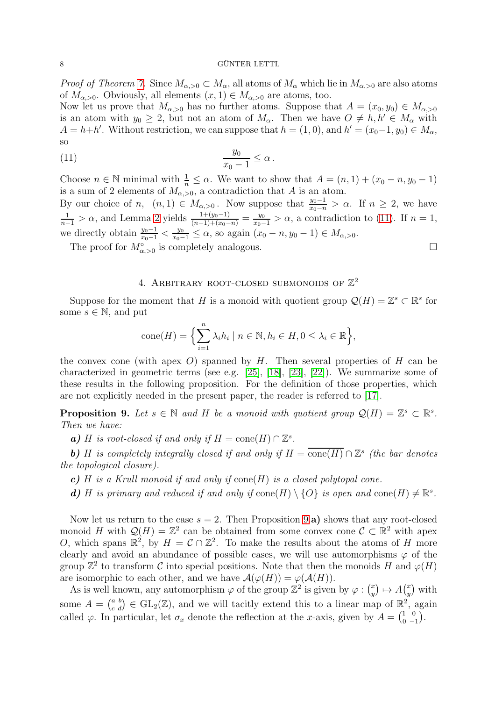*Proof of Theorem [7.](#page-4-0)* Since  $M_{\alpha,>0} \subset M_\alpha$ , all atoms of  $M_\alpha$  which lie in  $M_{\alpha,>0}$  are also atoms of  $M_{\alpha, >0}$ . Obviously, all elements  $(x, 1) \in M_{\alpha, >0}$  are atoms, too.

Now let us prove that  $M_{\alpha, >0}$  has no further atoms. Suppose that  $A = (x_0, y_0) \in M_{\alpha, >0}$ is an atom with  $y_0 \geq 2$ , but not an atom of  $M_\alpha$ . Then we have  $O \neq h, h' \in M_\alpha$  with  $A = h + h'$ . Without restriction, we can suppose that  $h = (1, 0)$ , and  $h' = (x_0 - 1, y_0) \in M_\alpha$ , so

$$
(11) \t\t \t\t \frac{y_0}{x_0 - 1} \leq \alpha.
$$

Choose  $n \in \mathbb{N}$  minimal with  $\frac{1}{n} \leq \alpha$ . We want to show that  $A = (n, 1) + (x_0 - n, y_0 - 1)$ is a sum of 2 elements of  $M_{\alpha, >0}$ , a contradiction that A is an atom.

By our choice of n,  $(n, 1) \in M_{\alpha, >0}$ . Now suppose that  $\frac{y_0-1}{x_0-n} > \alpha$ . If  $n \geq 2$ , we have  $\frac{1}{n-1} > \alpha$ , and Lemma [2](#page-2-0) yields  $\frac{1+(y_0-1)}{(n-1)+(x_0-n)} = \frac{y_0}{x_0-1} > \alpha$ , a contradiction to [\(11\)](#page-7-0). If  $n = 1$ , we directly obtain  $\frac{y_0-1}{x_0-1} < \frac{y_0}{x_0-1} \leq \alpha$ , so again  $(x_0 - n, y_0 - 1) \in M_{\alpha, > 0}$ .

The proof for  $M^{\circ}_{\alpha,>0}$  is completely analogous.

# <span id="page-7-0"></span>4. ARBITRARY ROOT-CLOSED SUBMONOIDS OF  $\mathbb{Z}^2$

Suppose for the moment that H is a monoid with quotient group  $\mathcal{Q}(H) = \mathbb{Z}^s \subset \mathbb{R}^s$  for some  $s \in \mathbb{N}$ , and put

$$
cone(H) = \left\{ \sum_{i=1}^{n} \lambda_i h_i \mid n \in \mathbb{N}, h_i \in H, 0 \le \lambda_i \in \mathbb{R} \right\},\
$$

the convex cone (with apex  $O$ ) spanned by  $H$ . Then several properties of  $H$  can be characterized in geometric terms (see e.g. [\[25\]](#page-11-6), [\[18\]](#page-11-7), [\[23\]](#page-11-8), [\[22\]](#page-11-9)). We summarize some of these results in the following proposition. For the definition of those properties, which are not explicitly needed in the present paper, the reader is referred to [\[17\]](#page-10-2).

<span id="page-7-1"></span>**Proposition 9.** Let  $s \in \mathbb{N}$  and H be a monoid with quotient group  $\mathcal{Q}(H) = \mathbb{Z}^s \subset \mathbb{R}^s$ . *Then we have:*

**a**) *H* is root-closed if and only if  $H = \text{cone}(H) \cap \mathbb{Z}^s$ .

**b**) H is completely integrally closed if and only if  $H = \overline{\text{cone}(H)} \cap \mathbb{Z}^s$  (the bar denotes *the topological closure).*

- c) H *is a Krull monoid if and only if* cone(H) *is a closed polytopal cone.*
- *d*) *H* is primary and reduced if and only if  $cone(H) \setminus \{O\}$  is open and  $cone(H) \neq \mathbb{R}^s$ .

Now let us return to the case  $s = 2$ . Then Proposition [9.](#page-7-1)a) shows that any root-closed monoid H with  $\mathcal{Q}(H) = \mathbb{Z}^2$  can be obtained from some convex cone  $\mathcal{C} \subset \mathbb{R}^2$  with apex O, which spans  $\mathbb{R}^2$ , by  $H = \mathcal{C} \cap \mathbb{Z}^2$ . To make the results about the atoms of H more clearly and avoid an abundance of possible cases, we will use automorphisms  $\varphi$  of the group  $\mathbb{Z}^2$  to transform C into special positions. Note that then the monoids H and  $\varphi(H)$ are isomorphic to each other, and we have  $\mathcal{A}(\varphi(H)) = \varphi(\mathcal{A}(H)).$ 

As is well known, any automorphism  $\varphi$  of the group  $\mathbb{Z}^2$  is given by  $\varphi: \binom{x}{y}$  $y^x\rightarrow A(y^x)$  $_y^x$ ) with some  $A = \begin{pmatrix} a & b \\ c & d \end{pmatrix} \in GL_2(\mathbb{Z})$ , and we will tacitly extend this to a linear map of  $\mathbb{R}^2$ , again called  $\varphi$ . In particular, let  $\sigma_x$  denote the reflection at the x-axis, given by  $A = \begin{pmatrix} 1 & 0 \\ 0 & -1 \end{pmatrix}$ .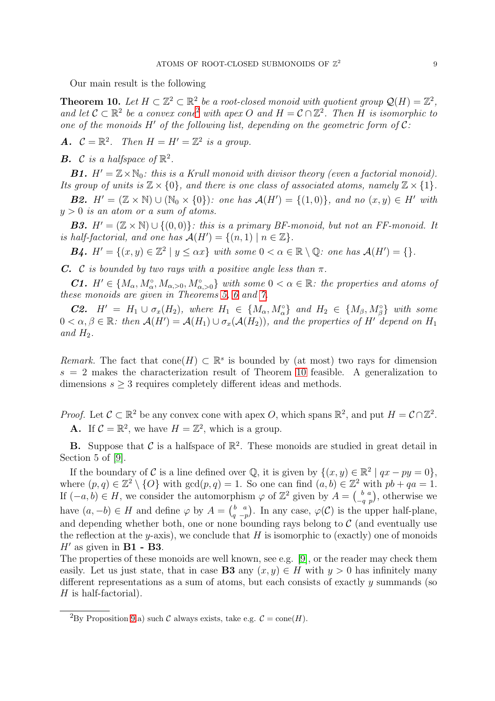Our main result is the following

<span id="page-8-0"></span>**Theorem 10.** Let  $H \subset \mathbb{Z}^2 \subset \mathbb{R}^2$  be a root-closed monoid with quotient group  $\mathcal{Q}(H) = \mathbb{Z}^2$ , *and let*  $C \subset \mathbb{R}^2$  $C \subset \mathbb{R}^2$  *be a convex cone*<sup>2</sup> *with apex* O *and*  $H = C \cap \mathbb{Z}^2$ . Then H *is isomorphic to one of the monoids* <sup>H</sup>′ *of the following list, depending on the geometric form of* <sup>C</sup>*:*

A.  $C = \mathbb{R}^2$ . Then  $H = H' = \mathbb{Z}^2$  is a group.

**B.** C is a halfspace of  $\mathbb{R}^2$ .

**B1.**  $H' = \mathbb{Z} \times \mathbb{N}_0$ : this is a Krull monoid with divisor theory (even a factorial monoid). *Its group of units is*  $\mathbb{Z} \times \{0\}$ *, and there is one class of associated atoms, namely*  $\mathbb{Z} \times \{1\}$ *.* 

**B2.**  $H' = (\mathbb{Z} \times \mathbb{N}) \cup (\mathbb{N}_0 \times \{0\})$ : one has  $\mathcal{A}(H') = \{(1,0)\}\$ , and no  $(x, y) \in H'$  with y > 0 *is an atom or a sum of atoms.*

**B3.**  $H' = (\mathbb{Z} \times \mathbb{N}) \cup \{(0,0)\}\colon$  this is a primary BF-monoid, but not an FF-monoid. It *is half-factorial, and one has*  $\mathcal{A}(H') = \{ (n, 1) | n \in \mathbb{Z} \}.$ 

**B4.**  $H' = \{(x, y) \in \mathbb{Z}^2 \mid y \leq \alpha x\}$  with some  $0 < \alpha \in \mathbb{R} \setminus \mathbb{Q}$ : one has  $\mathcal{A}(H') = \{\}.$ 

C. C *is bounded by two rays with a positive angle less than*  $\pi$ .

C1.  $H' \in \{M_\alpha, M_\alpha^\circ, M_{\alpha, >0}, M_{\alpha, >0}^\circ\}$  with some  $0 < \alpha \in \mathbb{R}$ : the properties and atoms of *these monoids are given in Theorems [5,](#page-3-0) [6](#page-3-1) and [7.](#page-4-0)*

**C2.**  $H' = H_1 \cup \sigma_x(H_2)$ , where  $H_1 \in \{M_\alpha, M_\alpha^{\circ}\}\$  and  $H_2 \in \{M_\beta, M_\beta^{\circ}\}\$  with some  $0 < \alpha, \beta \in \mathbb{R}$ : then  $\mathcal{A}(H') = \mathcal{A}(H_1) \cup \sigma_x(\mathcal{A}(H_2))$ , and the properties of H' depend on  $H_1$ and  $H_2$ .

*Remark.* The fact that  $cone(H) \subset \mathbb{R}^s$  is bounded by (at most) two rays for dimension  $s = 2$  makes the characterization result of Theorem [10](#page-8-0) feasible. A generalization to dimensions  $s \geq 3$  requires completely different ideas and methods.

*Proof.* Let  $C \subset \mathbb{R}^2$  be any convex cone with apex O, which spans  $\mathbb{R}^2$ , and put  $H = C \cap \mathbb{Z}^2$ . **A.** If  $C = \mathbb{R}^2$ , we have  $H = \mathbb{Z}^2$ , which is a group.

**B.** Suppose that C is a halfspace of  $\mathbb{R}^2$ . These monoids are studied in great detail in Section 5 of [\[9\]](#page-10-12).

If the boundary of C is a line defined over  $\mathbb{Q}$ , it is given by  $\{(x, y) \in \mathbb{R}^2 \mid qx - py = 0\},$ where  $(p, q) \in \mathbb{Z}^2 \setminus \{O\}$  with  $\gcd(p, q) = 1$ . So one can find  $(a, b) \in \mathbb{Z}^2$  with  $pb + qa = 1$ . If  $(-a, b) \in H$ , we consider the automorphism  $\varphi$  of  $\mathbb{Z}^2$  given by  $A = \begin{pmatrix} b & a \\ -q & p \end{pmatrix}$ , otherwise we have  $(a, -b) \in H$  and define  $\varphi$  by  $A = \begin{pmatrix} b & a \\ q & -p \end{pmatrix}$ . In any case,  $\varphi(\mathcal{C})$  is the upper half-plane, and depending whether both, one or none bounding rays belong to  $\mathcal C$  (and eventually use the reflection at the y-axis), we conclude that  $H$  is isomorphic to (exactly) one of monoids  $H'$  as given in **B1** - **B3**.

The properties of these monoids are well known, see e.g. [\[9\]](#page-10-12), or the reader may check them easily. Let us just state, that in case **B3** any  $(x, y) \in H$  with  $y > 0$  has infinitely many different representations as a sum of atoms, but each consists of exactly  $\eta$  summands (so  $H$  is half-factorial).

<span id="page-8-1"></span><sup>&</sup>lt;sup>2</sup>By Proposition [9.](#page-7-1)a) such C always exists, take e.g.  $C = \text{cone}(H)$ .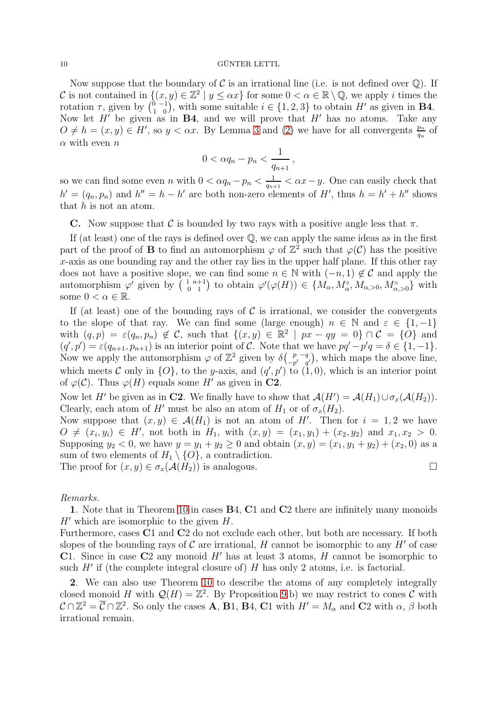Now suppose that the boundary of C is an irrational line (i.e. is not defined over  $\mathbb{Q}$ ). If C is not contained in  $\{(x, y) \in \mathbb{Z}^2 \mid y \leq \alpha x\}$  for some  $0 < \alpha \in \mathbb{R} \setminus \mathbb{Q}$ , we apply i times the rotation  $\tau$ , given by  $\begin{pmatrix} 0 & -1 \\ 1 & 0 \end{pmatrix}$ , with some suitable  $i \in \{1, 2, 3\}$  to obtain H' as given in **B4**. Now let  $H'$  be given as in  $B4$ , and we will prove that  $H'$  has no atoms. Take any  $O \neq h = (x, y) \in H'$ , so  $y < \alpha x$ . By Lemma [3](#page-2-1) and [\(2\)](#page-1-2) we have for all convergents  $\frac{p_n}{q_n}$  of  $\alpha$  with even  $n$ 

$$
0<\alpha q_n-p_n<\frac{1}{q_{n+1}},
$$

so we can find some even n with  $0 < \alpha q_n - p_n < \frac{1}{q_{n+1}}$  $\frac{1}{q_{n+1}} < \alpha x - y$ . One can easily check that  $h' = (q_n, p_n)$  and  $h'' = h - h'$  are both non-zero elements of H', thus  $h = h' + h''$  shows that  $h$  is not an atom.

C. Now suppose that C is bounded by two rays with a positive angle less that  $\pi$ .

If (at least) one of the rays is defined over Q, we can apply the same ideas as in the first part of the proof of **B** to find an automorphism  $\varphi$  of  $\mathbb{Z}^2$  such that  $\varphi(\mathcal{C})$  has the positive x-axis as one bounding ray and the other ray lies in the upper half plane. If this other ray does not have a positive slope, we can find some  $n \in \mathbb{N}$  with  $(-n, 1) \notin \mathcal{C}$  and apply the automorphism  $\varphi'$  given by  $\left(\begin{array}{cc} 1 & n+1 \\ 0 & 1 \end{array}\right)$  to obtain  $\varphi'(\varphi(H)) \in \{M_\alpha, M_\alpha^\circ, M_{\alpha, >0}, M_{\alpha, >0}^\circ\}$  with some  $0 < \alpha \in \mathbb{R}$ .

If (at least) one of the bounding rays of  $\mathcal C$  is irrational, we consider the convergents to the slope of that ray. We can find some (large enough)  $n \in \mathbb{N}$  and  $\varepsilon \in \{1, -1\}$ with  $(q, p) = \varepsilon(q_n, p_n) \notin \mathcal{C}$ , such that  $\{(x, y) \in \mathbb{R}^2 \mid px - qy = 0\} \cap \mathcal{C} = \{O\}$  and  $(q', p') = \varepsilon(q_{n+1}, p_{n+1})$  is an interior point of C. Note that we have  $pq' - p'q = \delta \in \{1, -1\}.$ Now we apply the automorphism  $\varphi$  of  $\mathbb{Z}^2$  given by  $\delta\begin{pmatrix} p & -q \\ -p' & q \end{pmatrix}$  $\begin{pmatrix} p & -q \\ -p' & q' \end{pmatrix}$ , which maps the above line, which meets C only in  $\{O\}$ , to the y-axis, and  $(q', p')$  to  $(1, 0)$ , which is an interior point of  $\varphi(\mathcal{C})$ . Thus  $\varphi(H)$  equals some H' as given in C2.

Now let H' be given as in C2. We finally have to show that  $\mathcal{A}(H') = \mathcal{A}(H_1) \cup \sigma_x(\mathcal{A}(H_2)).$ Clearly, each atom of H' must be also an atom of  $H_1$  or of  $\sigma_x(H_2)$ .

Now suppose that  $(x, y) \in \mathcal{A}(H_1)$  is not an atom of H'. Then for  $i = 1, 2$  we have  $O \neq (x_i, y_i) \in H'$ , not both in  $H_1$ , with  $(x, y) = (x_1, y_1) + (x_2, y_2)$  and  $x_1, x_2 > 0$ . Supposing  $y_2 < 0$ , we have  $y = y_1 + y_2 \ge 0$  and obtain  $(x, y) = (x_1, y_1 + y_2) + (x_2, 0)$  as a sum of two elements of  $H_1 \setminus \{O\}$ , a contradiction. The proof for  $(x, y) \in \sigma_x(\mathcal{A}(H_2))$  is analogous.

*Remarks.*

1. Note that in Theorem [10](#page-8-0) in cases B4, C1 and C2 there are infinitely many monoids  $H'$  which are isomorphic to the given  $H$ .

Furthermore, cases C1 and C2 do not exclude each other, but both are necessary. If both slopes of the bounding rays of  $\mathcal C$  are irrational,  $H$  cannot be isomorphic to any  $H'$  of case C1. Since in case C2 any monoid  $H'$  has at least 3 atoms,  $H$  cannot be isomorphic to such  $H'$  if (the complete integral closure of)  $H$  has only 2 atoms, i.e. is factorial.

2. We can also use Theorem [10](#page-8-0) to describe the atoms of any completely integrally closed monoid H with  $\mathcal{Q}(H) = \mathbb{Z}^2$ . By Proposition [9.](#page-7-1)b) we may restrict to cones C with  $\mathcal{C} \cap \mathbb{Z}^2 = \overline{\mathcal{C}} \cap \mathbb{Z}^2$ . So only the cases **A**, **B**1, **B**4, **C**1 with  $H' = M_\alpha$  and **C**2 with  $\alpha$ ,  $\beta$  both irrational remain.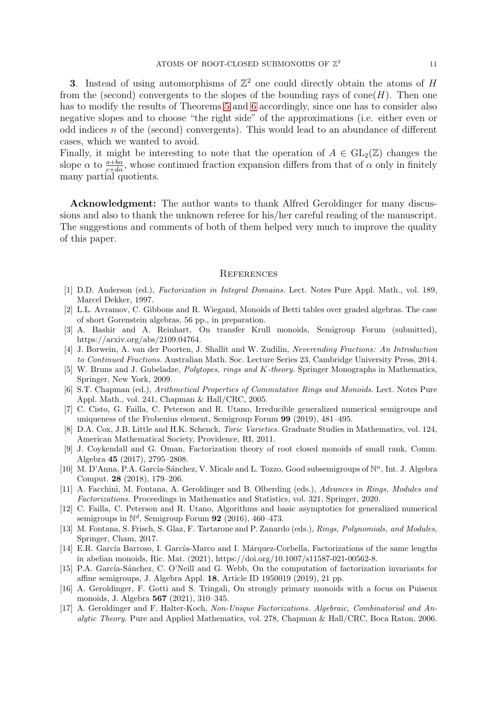3. Instead of using automorphisms of  $\mathbb{Z}^2$  one could directly obtain the atoms of H from the (second) convergents to the slopes of the bounding rays of cone  $(H)$ . Then one has to modify the results of Theorems [5](#page-3-0) and [6](#page-3-1) accordingly, since one has to consider also negative slopes and to choose "the right side" of the approximations (i.e. either even or odd indices  $n$  of the (second) convergents). This would lead to an abundance of different cases, which we wanted to avoid.

Finally, it might be interesting to note that the operation of  $A \in GL_2(\mathbb{Z})$  changes the slope  $\alpha$  to  $\frac{a+b\alpha}{c+d\alpha}$ , whose continued fraction expansion differs from that of  $\alpha$  only in finitely many partial quotients.

Acknowledgment: The author wants to thank Alfred Geroldinger for many discussions and also to thank the unknown referee for his/her careful reading of the manuscript. The suggestions and comments of both of them helped very much to improve the quality of this paper.

#### **REFERENCES**

- <span id="page-10-15"></span><span id="page-10-0"></span>[1] D.D. Anderson (ed.), *Factorization in Integral Domains.* Lect. Notes Pure Appl. Math., vol. 189, Marcel Dekker, 1997.
- <span id="page-10-14"></span>[2] L.L. Avramov, C. Gibbons and R. Wiegand, Monoids of Betti tables over graded algebras. The case of short Gorenstein algebras, 56 pp., in preparation.
- [3] A. Bashir and A. Reinhart, On transfer Krull monoids, Semigroup Forum (submitted), https://arxiv.org/abs/2109.04764.
- <span id="page-10-16"></span>[4] J. Borwein, A. van der Poorten, J. Shallit and W. Zudilin, *Neverending Fractions: An Introduction to Continued Fractions.* Australian Math. Soc. Lecture Series 23, Cambridge University Press, 2014.
- <span id="page-10-5"></span>[5] W. Bruns and J. Gubeladze, *Polytopes, rings and* K*-theory.* Springer Monographs in Mathematics, Springer, New York, 2009.
- <span id="page-10-1"></span>[6] S.T. Chapman (ed.), *Arithmetical Properties of Commutative Rings and Monoids.* Lect. Notes Pure Appl. Math., vol. 241, Chapman & Hall/CRC, 2005.
- <span id="page-10-9"></span>[7] C. Cisto, G. Failla, C. Peterson and R. Utano, Irreducible generalized numerical semigroups and uniqueness of the Frobenius element, Semigroup Forum 99 (2019), 481–495.
- <span id="page-10-6"></span>[8] D.A. Cox, J.B. Little and H.K. Schenck, *Toric Varieties.* Graduate Studies in Mathematics, vol. 124, American Mathematical Society, Providence, RI, 2011.
- <span id="page-10-12"></span>[9] J. Coykendall and G. Oman, Factorization theory of root closed monoids of small rank, Comm. Algebra 45 (2017), 2795–2808.
- <span id="page-10-8"></span>[10] M. D'Anna, P.A. García-Sánchez, V. Micale and L. Tozzo, Good subsemigroups of  $\mathbb{N}^n$ , Int. J. Algebra Comput. 28 (2018), 179–206.
- <span id="page-10-4"></span>[11] A. Facchini, M. Fontana, A. Geroldinger and B. Olberding (eds.), *Advances in Rings, Modules and Factorizations.* Proceedings in Mathematics and Statistics, vol. 321, Springer, 2020.
- <span id="page-10-7"></span>[12] C. Failla, C. Peterson and R. Utano, Algorithms and basic asymptotics for generalized numerical semigroups in  $\mathbb{N}^d$ , Semigroup Forum 92 (2016), 460–473.
- <span id="page-10-3"></span>[13] M. Fontana, S. Frisch, S. Glaz, F. Tartarone and P. Zanardo (eds.), *Rings, Polynomials, and Modules*, Springer, Cham, 2017.
- <span id="page-10-11"></span>[14] E.R. García Barroso, I. García-Marco and I. Márquez-Corbella, Factorizations of the same lengths in abelian monoids, Ric. Mat. (2021), https://doi.org/10.1007/s11587-021-00562-8.
- <span id="page-10-10"></span>[15] P.A. García-Sánchez, C. O'Neill and G. Webb, On the computation of factorization invariants for affine semigroups, J. Algebra Appl. 18, Article ID 1950019 (2019), 21 pp.
- <span id="page-10-13"></span>[16] A. Geroldinger, F. Gotti and S. Tringali, On strongly primary monoids with a focus on Puiseux monoids, J. Algebra 567 (2021), 310–345.
- <span id="page-10-2"></span>[17] A. Geroldinger and F. Halter-Koch, *Non-Unique Factorizations. Algebraic, Combinatorial and Analytic Theory.* Pure and Applied Mathematics, vol. 278, Chapman & Hall/CRC, Boca Raton, 2006.